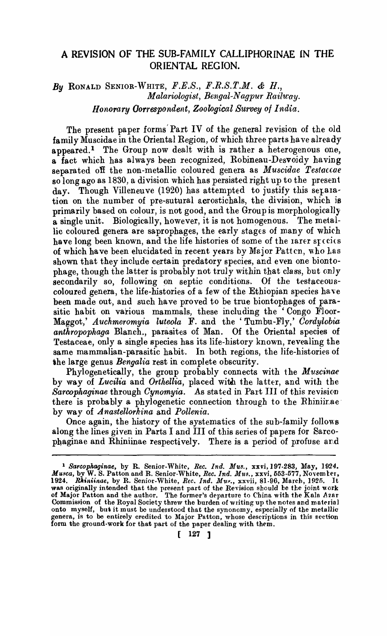# A REVISION OF THE: SUB-FAMILY CALLIPHORINAE iN THE ORIENTAL REGION.

# By RONALD SENIOR-WHITE,  $F.E.S., F.R.S.T.M.$  &  $H.,$ *Malariologist, Bengal-Nagpur Railway. Honorary Oorrespondent, Zoological Survey of India.*

The present paper forms' Part IV of the general revision of the old family Muscidae in the Oriental Region, of which three parts ha ve already appeared.<sup>1</sup> The Group now dealt with is rather a heterogenous one, a fact which has always been recognized, Robineau-Desvoidy having separated oft the non-metallic coloured genera as *Muscidae Testaccae*  so long ago as 1830, a division which has persisted right up to the present day. Though Villeneuve (1920) has attempted to justify this separation on the number of pre-sutural acrostichals, the division, which is primarily based on colour, is not good, and the Group is morphologically a single unit. Biologically, however, it is not homogenous. The metallic coloured genera are saprophages, the early stages of many of whirh have long been known, and the life histories of some of the larer species of which have been elucidated in recent years by Major Patten, who has shown that they include certain predatory species, and even one biontophage, though the latter is probably not truly within that class, but only secondarily so, following on septic conditions. Of the testaceouscoloured genera, the life-histories of a few of the Ethiopian species have been made out, and such have proved to be true biontophages of parasitic habit on various mammals, these including the 'Congo Floor-Maggot,' *Auchmeromyia luteola* F. and the' Tumbu-Fly,' *Cordylobia anthropophaga* Blanch., parasites of Man. Of the Oriental species of Testaceae, only a single species has its life-history known, revealing the same mammalian-parasitic habit. In both regions, the life-histories of the large genus *Bengalia* rest in complete obscurity.

PhylogeneticaIly, the group probably connects with the *Muscinae*  by way of *Lucilia* and *Orthellia*, placed with the latter, and with the Sarcophaginae through *Cynomyia*. As stated in Part III of this revision there is probably a phylogenetic connection through to the Rhiniirae by way of *Anastellorhina* and *Pollenia.* 

Once again, the history of the systematics of the sub-family follow8 along the lines given in Parts I and III of this series of papers for 8arcophaginae and Rhiniinae respectively. There is a period of profuse and

<sup>1</sup>*Sarcophaginae,* by R. Senior-White, *Ree. Ind. MU8.,* xxvi,197.283, May, 1924. *Musca*, by W. S. Patton and R. Senior-White, *Rec. Ind. Mus.*, xxvi, 553-577, November, 1924. Rhiniinae, by R. Senior-White, *Rec. Ind. Mus.*, xxvii, 81-96, March, 1925. It was originally intended that the present part of the Revision should be the joint work of Major Patton and the author. <sup>1</sup> The former's departure to China with the Kala *A zar* Commission of the Royal Society threw the burden of writing up the notes and material onto myself, but it must be understood that the synonomy, especially of the metallic genera, is to be entirely credited to Major Patton, whose descriptions in this section form the ground-work for that part of the paper dealing with them.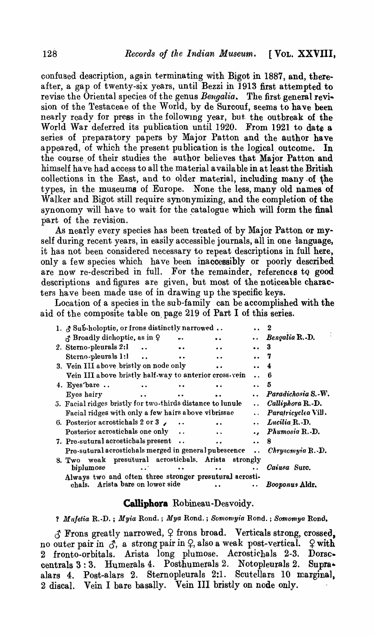confused description, again terminating with Bigot in 1887, and, thereafter, a gap of twenty-six years, until Bezzi in 1913 first attempted to revise the Oriental species of the genus *Bengalia..* The first general revision of the 1'estaceae of the World, by de Surcouf, seems to have been nearly ready for press in the followlng year, but. the outbreak of the World War deferred its publication until 1920. From 1921 to date a series of preparatory papers by Major Patton and the author have appeared, of which the present publication is the logical outcome. In the course of their studies the author believes that Major Patton and himself have had access to all the material available in at least the British collections in the East, and to older material, including many of the types, in the museums of Europe. None the less, many old names of Walker and Bigot still require synonymizing, and the completion of the synonomy will have to wait for the catalogue which will form the final part of the revision.

As nearly every species has been treated of by Major Patton or myself during recent years, in easily accessible journals, all in one language, it has not been considered necessary to repeat descriptions in full here, only a few species which have been inaccessibly or poorly described are now re-described in full. For the remainder, references to good descriptions and figures are given, but most of the noticeable characters have been made use of in drawing up the 'specific keys.

Location of a species in the sub-family can be accomplished with the aid of the composite table on\_ page 219 of Part I of this series.

| 1. & Sub-holoptic, or frons distinctly narrowed            |                                      |          |                      | 2                   |
|------------------------------------------------------------|--------------------------------------|----------|----------------------|---------------------|
| of Broadly dichoptic, as in 9                              |                                      |          |                      | Bengalia R.-D.      |
| 2. Sterno-pleurals 2:1                                     |                                      | . .      |                      | 3                   |
| Sterno-pleurals 1:1                                        |                                      |          |                      |                     |
| 3. Vein III above bristly on node only                     |                                      |          |                      |                     |
| Vein III above bristly half-way to anterior cross-vein     |                                      |          |                      | 6                   |
| 4. Eyes'bare $\ldots$                                      |                                      |          |                      | 5                   |
| Eyes hairy                                                 |                                      |          |                      | Paradichosia S.-W.  |
| 5. Facial ridges bristly for two-thirds distance to lunule |                                      |          | $\ddot{\phantom{a}}$ | Calliphora R.-D.    |
| Facial ridges with only a few hairs above vibrissae        |                                      |          |                      | Paratricyclea Vill. |
| 6. Posterior acrostichals 2 or 3 $\sim$                    |                                      |          |                      | Lucilia R.-D.       |
| Posterior acrostichals one only                            |                                      | . .      |                      | Phumosia R.-D.      |
| 7. Pre-sutural acrostichals present                        |                                      |          |                      | 8                   |
| Pre-sutural acrostichals merged in general pubescence      |                                      |          |                      | Chryscmyia R.-D.    |
| 8. Two                                                     | weak presutural acrostichals. Arista | strongly |                      |                     |
| biplumose                                                  |                                      |          |                      | Caiusa Surc.        |
| Always two and often three stronger presutural acrosti-    |                                      |          |                      |                     |
| chals.                                                     | Arista bare on lower side            |          |                      | Booponus Aldr.      |

## Calliphora Robineau-Desvoidy.

? *Mufetia* R.-D. ; *Myia* Rond.; *Mya* Rond.; *Somotnyia* Rond. ; *Somomya* Rond.

 $\mathcal{A}$  Frons greatly narrowed,  $\varphi$  frons broad. Verticals strong, crossed. no outer pair in  $\mathcal{J}$ , a strong pair in  $\varphi$ , also a weak post-vertical.  $\varphi$  with fronto-orbitals. Arista long plumose. Acrostichals 2-3. Dorsccentrals 3:3. Humerals 4. Posthumerals 2. Notopleurals 2. Supraalars 4. Post-alars 2. Sternopleurals 2:1. Scutellars 10 marginal, 2 disca!. Vein I bare basally. Vein III bristly on node only.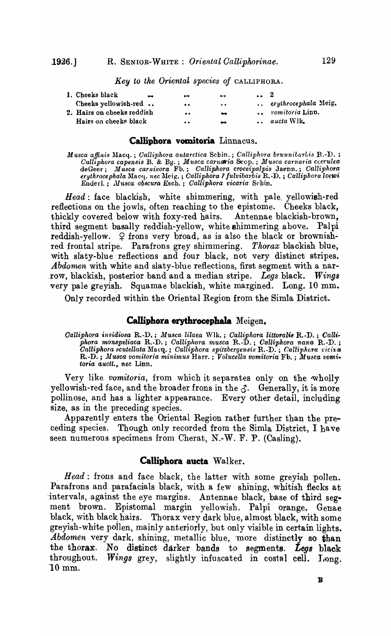*Key to the Oriental species of* CALLIPHORA.

| 1. Cheeks black<br>$^{\bullet\bullet}$ | $\bullet$               |                          | $\cdots$ 2 |                        |
|----------------------------------------|-------------------------|--------------------------|------------|------------------------|
| Cheeks yellowish-red                   | $\bullet\bullet$        | $\cdot$ .                |            | erythrocephala Meig.   |
| 2. Hairs on cheeks reddish             | $\bullet \cdot \bullet$ | $\bullet$                |            | <i>romitoria</i> Linn. |
| Hairs on cheeks black                  | $\bullet\bullet$        | $\overline{\phantom{a}}$ |            | $\ldots$ aucta Wik.    |
|                                        |                         |                          |            |                        |

### **Calliphora vomitoria** Linnacus.

 $M$ usca affinis Macq. ; *Calliphora antarctica* Scbin. ; *Calliphora brunnitarlis* R.-D. ; *Calliphora capensis* B. & Bg. ; *M'ltsca carnllria* &-op. ; *Musca earn aria ccerulea*  deGeer; *J.llu8ca carnivora* Fh.; *Calliphora croceipalpis* Jat'nn.; *Calliphora eruthrocephala* l\laC(i. *nec* :U(>i~. ; *Calliphora? fulvibarbis* R.·D. ; *Calliphora lo(wi*  Enderl.; *J1I'lf,8ca obscura* Esch.; *Calliphora 'vicaria* S('hin.

*Head:* face blackish, white shimmering, with pale. yellowish-red reflections on the jowls, often reaching to the epistome. Cheeks black, thickly covered below with foxy-red hairs. Antennae blackish-brown, third segment basally reddish-yellow, white shimmering above. Palpi reddish-yellow.  $\varphi$  frons very broad, as is also the black or brownishred frontal stripe. Parafrons grey shimmering. *Thorax* blackish blue, with slaty-blue reflections and four black, not very distinct stripes. Abdomen with white and slaty-blue reflections, first segment with a narrow, blackish, posterior band and a median stripe. Legs black. Wings very pale greyish. Squamae blackish, white margined. Long.  $10 \text{ mm}$ .

Only recorded within the Oriental Region from the Simla District.

#### **Calliphora erythrocephala** Meigen.

*Calliphora insidiosa R.-D.*; *Musca lilaea* Wlk.; *Calliphora littoralis R.-D.*; *Calliphora monspeZiaca* R .. D.; *Calliphora mU8ca* R.·D.; *Oalliphora ?lana* R. ·D. ; *Calliphora scutellata* Macq.; *Calliphora spitzbergensis* R.-D.; *Calliphora vicina* R.-D.; *Musca vomitoria minimus* Harr.; *Volucella vomitoria* Fb.; Musca vomi. *toria aueit., nee* Linn.

Very like *vomitoria,* from which it separates only on the ·wholly yellowish-red face, and the broader frons in the  $\delta$ . Generally, it is more pollinose, and has a lighter appearance. Every other detail, including size, as in the preceding species.

Apparently enters the Oriental Region rather further than the preceding species. Though only recorded from the Simla District, I have seen numerous specimens from Cherat, N.-W. F. P. (Casling).

#### **Calliphora aueta** Walker.

*Head:* frons and face black, the latter with some greyish pollen. Parafrons and parafacials black, with a few shining, whitish flecks at intervals, against the eye margins. Antennae black, base of third segment brown. Epistomal margin yellowish. Palpi orange. Genae black, with black hairs. Thorax very dark blue, almost black, with some greyish-white pollen, mainly anteriorly, but only visible in certain lights. *Abdomen* very dark, shining, metallic blue, more distinctly so than the thorax. No distinct darker bands to segments. *Legs* black throughout. *Wings* grey, slightly infuscated in costal cell. Long. 10mm.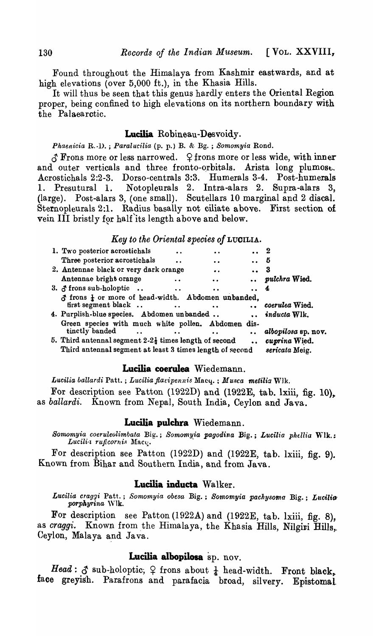Found throughout the Himalaya from Kashmir eastwards, and at high elevations (over 5,000 ft.), in the Khasia Hills.

It will thus be seen that this genus hardly enters the Oriental Region proper, being confined to high elevations on its northern boundary with the Palaearctic.

## Lucilia Robineau-Desvoidy.

*Phaenicia* R.-D. ; *Paralucilia* (p. p.) B. &. Bg. ; *Somomyia* Rond.

 $\delta$  Frons more or less narrowed.  $\varphi$  frons more or less wide, with inner and outer verticals and three fronto-orbitals. Arista long plumose. Acrostichals 2:2-3. Dorso-centrals 3:3. Humerals 3-4. Post-humerals 1. Presutural 1. Notopleurals 2. Intra-alars 2. Supra-alars 3, (large). Post-alars 3, (one small). Scutellars  $10$  marginal and  $2$  discal. Sternopleurals 2:1. Radius basally not ciliate above. First section of vein III bristly for half its length above and below.

#### *Key to the Oriental species of* L UOILIA.

| 1. Two posterior acrostichals                                                                                                 |                      |                      |                      | - 2                             |
|-------------------------------------------------------------------------------------------------------------------------------|----------------------|----------------------|----------------------|---------------------------------|
| Three posterior acrostichals                                                                                                  | $\ddot{\bullet}$     | $\ddot{\bullet}$     | $\bullet$ $\bullet$  | б                               |
| 2. Antennae black or very dark orange                                                                                         |                      | $\bullet$ .          |                      | -3                              |
| Antennae bright orange                                                                                                        |                      | $\bullet$            |                      | pulchra Wied.                   |
| 3. $\delta$ frons sub-holoptic.                                                                                               |                      |                      |                      |                                 |
| $\delta$ frons $\frac{1}{2}$ or more of head-width. Abdomen unbanded,<br>first segment black                                  |                      | $\bullet$ $\bullet$  |                      | coerulea Wied.                  |
| 4. Purplish-blue species. Abdomen unbanded                                                                                    |                      |                      |                      | $\ldots$ inducta Wlk.           |
| Green species with much white pollen. Abdomen dis-<br>tinctly banded                                                          | $\sim$ $\sim$ $\sim$ | $\ddot{\phantom{a}}$ | $\ddot{\phantom{a}}$ | albopilosa sp. nov.             |
| 5. Third antennal segment $2-2\frac{1}{2}$ times length of second<br>Third antennal segment at least 3 times length of second |                      |                      | $\bullet$ $\bullet$  | cuprina Wied.<br>sericata Meig. |
|                                                                                                                               |                      |                      |                      |                                 |

## **Lucilia coerulea** Wiedemann.

Lucilia ballardi Patt.; Lucilia flavipennis Macy.; Musca metilia Wlk.

For description see Patton (1922D) and (1922E, tab. lxiii, fig. 10), as *ballardi.* Known from Nepal, South India, Ceylon and Java.

### Lucilia pulchra Wiedemann.

*Somomyia coeruleolimoata* Big.; *Somomyia pagodina* Big.; *L'Ucilia phdlia* lVlk.; Lucili<sub>'</sub> ruficornis Macq.

For description see Patton (1922D) and (1922E, tab. lxiii, fig. 9). Known from Bihar and Southern India, and from Java.

## Lucilia inducta Walker.

Lucilia craggi Patt.; *Somomyia obesa Big.*; *Somomyia pachysoma Big.*; Lucilia *porphyrina* 'Vlk.

For description see Patton (1922A) and (1922E, tab. lxiii, fig. 8), as *craggi.* Known from the Himalaya, the Khasia Hills, Nilgiri Hills,. Ceylon, Malaya and Java.

## Lucilia albopilosa sp. nov.

*Head*:  $\delta$  sub-holoptic;  $\varphi$  frons about  $\frac{1}{4}$  head-width. Front black, face greyish. Parafrons and parafacia broad, silvery. Epistomal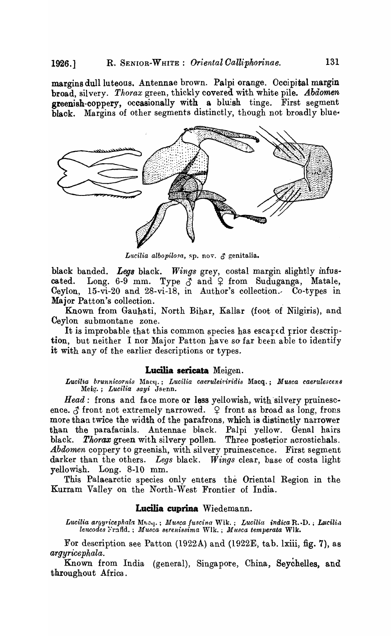margins duliluteous. Antennae brown. Palpi orange. Occipital margin broad, silvery. *Thorax* green, thickly covered with white pile. *Abdomen*  greenish-coppery, occasionally with a bluish tinge. First segment black. Margins of other segments distinctly, though not broadly blue.



Lucilia albopilosa, sp. nov. & genitalia.

black banded. Legs black. Wings grey, costal margin slightly infuscated. Long. 6-9 mm. Type  $\delta$  and  $\Omega$  from Suduganga, Matale, Ceylon, 15-vi-20 and 28-vi-18, in Author's collection., Co-types in Major Patton's collection. .

Known from Gauhati, North Bihar, Kallar (foot of Nilgiris), and Ceylon su bmontane zone.

It is improbable that this common species has escaped prior description, but neither I nor Major Patton have so far been able to identify it with any of the earlier descriptions or types.

#### **Lucilia sericata** Meigen.

Lucilia brunnicornis Macy.; Lucilia caeruleiviridis Macq.; Musca caerulescen8 l\feif:.!.; *Lucilia aayi* Jsenn.

Head: frons and face more or less yellowish, with silvery pruinescence.  $\delta$  front not extremely narrowed.  $\varphi$  front as broad as long, frons more than twice the width of the parafrons, which is distinctly narrower than the parafacials. Antennae black. Palpi yellow. Genal hairs black. *Thorax* green with silvery pollen. Three posterior acrostichals. *Abdomen* coppery to greenish, with silvery pruinescence. First segment darker than the others. *Legs* black. *Wings* clear, base of costa light yellowish. Long. 8-10 mm.

This Palaearctic species only enters the Oriental Region in the Kurram Valley on the North~West Frontier of India.

### **Lucilia cuprina** Wiedemann.

*Lucilia ar9yricep/lala.* l\I~.c'J' ; Mu.~ca *fuscina* Wik.; *Lucilia indica* R •• !> •• *LJ/,cili'l lencodes* }·r:lfld. ; *1Ilusca 8erenissima* Wlk. ; *Musca temperata* Wlk.

For description see Patton (1922A) and (1922E, tab. lxiii, fig. 7), as *argyricephala.* 

Known from India (general), Singapore, China, Seychelles, and throughout Africa.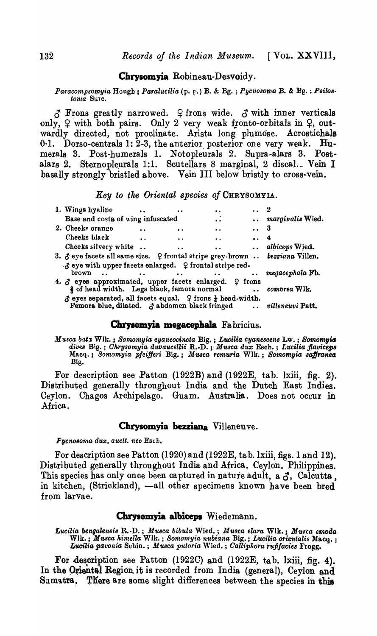### Chrysomyia Robineau-Desvoidy.

*Paracompsomyia* Hough; *Paralucilia* (p. p.) B. & Bg.; *Pycnosoma* B. & Bg.; *Psilostoma* SUTC.

 $\delta$  Frons greatly narrowed.  $\varphi$  frons wide.  $\delta$  with inner verticals only,  $\varphi$  with both pairs. Only 2 very weak fronto-orbitals in  $\varphi$ , outwardly directed, not proclinate. Arista long plumose. Acrostichals 0.1. Dorso-centrals 1: 2-3, the anterior posterior one very weak. Humerals 3. Post-humerals 1. Notopleurals 2. Supra-alars 3. Postalars 2. Sternopleurals 1:1. Scutellars 8 marginal, 2 discal. Vein I basally strongly bristled above. Vein III below bristly to cross-vein.

*Key to tke Oriental species of* CHRYSOMYIA.

| 1. Wings hyaline                                                                                                                     |                                                                                                                                                                                                                                   | $\bullet\bullet$    |                     |                  |
|--------------------------------------------------------------------------------------------------------------------------------------|-----------------------------------------------------------------------------------------------------------------------------------------------------------------------------------------------------------------------------------|---------------------|---------------------|------------------|
| Base and costa of wing infuscated                                                                                                    |                                                                                                                                                                                                                                   | $\bullet$           |                     | marginalis Wied. |
| 2. Cheeks orange                                                                                                                     |                                                                                                                                                                                                                                   | $\bullet$           |                     | 3                |
| Cheeks black                                                                                                                         | $\bullet$                                                                                                                                                                                                                         | $\bullet$           | $\cdots$ 4          |                  |
| Cheeks silvery white                                                                                                                 | $\bullet$                                                                                                                                                                                                                         | $\bullet$ $\bullet$ |                     | albiceps Wied.   |
| 3. Jeye facets all same size. 9 frontal stripe grey-brown  bezziana Villen.                                                          |                                                                                                                                                                                                                                   |                     |                     |                  |
| $\cdot$ s eye with upper facets enlarged. $\varphi$ frontal stripe red-                                                              |                                                                                                                                                                                                                                   |                     |                     |                  |
| brown<br>$\ddot{\phantom{0}}$                                                                                                        | $\mathbf{r}$ , and the contract of the contract of the contract of the contract of the contract of the contract of the contract of the contract of the contract of the contract of the contract of the contract of the contract o |                     | $\bullet$ $\bullet$ | megacephala Fb.  |
| 4. $\delta$ eyes approximated, upper facets enlarged. $\varphi$ frons<br>§ of head width. Legs black, femora normal                  |                                                                                                                                                                                                                                   |                     |                     | comorea Wlk.     |
| $\Delta$ eyes separated, all facets equal. $\Omega$ frons $\frac{1}{4}$ head-width.<br>Femora blue, dilated. J abdomen black fringed |                                                                                                                                                                                                                                   |                     |                     | villeneuvi Patt. |

#### Chrysomyia megacephala Fabricius.

*Mu.sca bat:s* Wlk. ; *Somomyia cyaneocincta* Big. ; *Lucilia cganescens* Lw. ; *Somomyia* dives Big. ; *Ohrysomyia duvaucellii* R. D. ; *Musca dux* Esch. ; Lucilia flaviceps Macq.; *Som'Jmyia pfeifferi* Big.; *.V'U8ca remuria* Wlk.; *Somomyia 8aJjranea,*  Big.

For description see Patton (1922B) and (1922E, tab. lxiii, fig. 2). Distributed generally throughout India and the Dutch East Indies. Ceylon. Chagos Archipelago. Guam. Australia. Does not occur in Africa.

#### Chrysomyia bezziana Villeneuve.

 $Pyc$ nosoma dux, auctt. nec Esch.

For description see Patton (1920) and (1922E, ta b.lxiii, figs. 1 and 12). Distributed generally throughout India and Africa. Ceylon. Philippines. This species has only once been captured in nature adult, a  $\delta$ , Calcutta, in kitchen, (Strickland), -all other specimens known have been bred from larvae.

#### Chrysomyia albiceps Wiedemann.

*£ucilia bengalensts* R.-D. ; *Musca bibula* Wied. ; *Musca elara* Wlk. ; *Musca emoda*  Wlk.; *Musca himella* Wlk.; *Somomyia nubiana* Big.; *Lucilia orientalis* Macq.; Lucilia pavonia Schin. ; *Musca putoria* Wied. ; *Calliphora rufifacies* Frogg.

For .description see Patton (1922C) and (1922E, tab. lxiii, fig. 4). In the Oriental Region it is recorded from India (general), Ceylon and Samatra. There are some slight differences between the species in this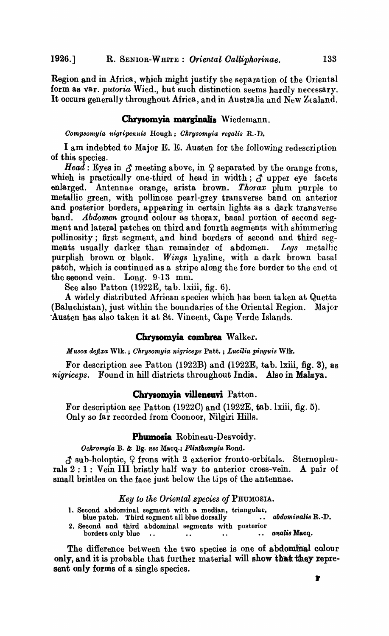Region and in Africa, which might justify the separation of the Oriental form as var. *putoria* Wied., but such distinction seems hardly necessary. It occurs generally throughout Africa, and in Australia and New Zealand.

### Chrysomyia marginalis Wiedemann.

*Oompaomyia nigripennis* Hough; *Ohrysomyia regalis* R. ·D.

I am indebted to Major E. E. Austen for the following redescription of this species.

*Head*: Eyes in  $\mathcal{S}$  meeting above, in  $\Omega$  separated by the orange frons, which is practically one-third of head in width;  $\delta$  upper eye facets enlarged. Antennae orange, arista brown. *Thorax* plum purple to metallic green, with pollinose pearl-grey transverse band on anterior and posterior borders, appearing in certain lights as a dark transverse band. *Abdomen* ground colour as thorax, basal portion of second segment and lateral patches on third and fourth segments with shimmering pollinosity; first segment, and hind borders of second and third segments usually darker than remainder of abdomen. *Legs* metallic purplish brown or black. *Wings* hyaline, with a dark brown basal patch, which is continued as a stripe along the fore border to the end of the second vein. Long. 9-13 mm.

See also Patton (1922E, tab. lxiii, fig. 6).

A widely distributed African species which has been taken at Quetta (Baluchistan), just within the boundaries of the Oriental Region. Major -Austen has also taken it at St. Vincent, Cape Verde Islands.

### **Chrysomyia combrea Walker.**

*Musca defixa Wlk.* ; *Chrysomyia nigriceps Patt.* ; *Lucilia pinguis Wlk.* 

For description see Patton  $(1922B)$  and  $(1922E, tab. Ixiii, fig. 3)$ , as *nigriceps.* Found in hill districts throughout India. Also in Malaya.

#### **Chrysomyia viIIeneuvi** Patton.

For description see Patton  $(1922C)$  and  $(1922E, \text{tab. l}xiii, \text{fig. 5}).$ Only so far recorded from Ooonoor, Nilgiri Hills.

#### **Phumosia** Robineau-Desvoidy.

*Ockromyia* B. & Bg. *nee* Macq.; *Plinthomgia* Rond.

 $\beta$  sub-holoptic,  $\varphi$  frons with 2 exterior fronto-orbitals. Sternopleurals 2 : 1 : Vein III bristly half way to anterior cross-vein. A pair of small bristles on the face just below the tips of the antennae.

#### Key to the Oriental species of PHUMOSIA.

- 1. Second abdominal segment with a median, triangular,
- blue patch. Third segment all blue dorsally •. *abdominalia* B..·D.
- 2. Second and third abdominal segments with posterior borderB only blue •. .. •. •• *anali8* Macq.

The difference between the two species is one of abdominal colour only, and it is probable that further material will show that they represent only forms of a single species.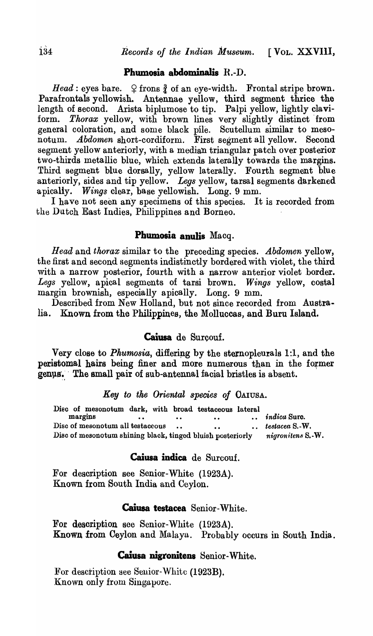## Phumosia abdominalis  $R.-D$ .

*Head*: eyes bare.  $\varphi$  frons  $\frac{3}{4}$  of an eye-width. Frontal stripe brown. Parafrontals yellowish. Antennae yellow, third segment thrice the length of second. Arista biplumose to tip. Palpi yellow, lightly claviform. Thorax yellow, with brown lines very slightly distinct from general coloration, and some black pile. Scutellum similar to mesonotum. *Abdomen* short-cordiform. First segment all yellow. Second segment yellow anteriorly, with a median triangular patch over posterior two-thirds metallic blue, which extends laterally towards the margins. Third segment blue dorsally, yellow laterally. Fourth segment blue anteriorly, sides and tip yellow. *Legs* yellow, tarsal segments darkened apically. *Wings* clear, base yellowish. Long. 9 mm.

I have not seen any specimens of this species. It is recorded from the Dutch East Indies, Philippines and Borneo.

## Phumosia anulis Macq.

*Head* and *thorax* similar to the preceding species. *Abdomen* yellow, the first and second segments indistinctly bordered with violet, the third with a narrow posterior, fourth with a narrow anterior violet border. *Legs* yellow, apical segments of tarsi brown. *Wings* yellow, costal margiu brownish, especially apically. Long. 9 mm.

Described from New Holland, but not since recorded from Australia. Known from the Philippines, the Molluccas, and Buru Island.

## Caiusa de Surcouf.

Very close to *Phumosia*, differing by the sternopleurals 1:1, and the peristomal hairs being finer and more numerous than in the former genus. The small pair of sub-antennal facial bristles is absent.

## *Key to the Oriental species of* OAIUSA.

Disc of mesonotum dark, with broad testaceous lateral margins ... .. .. .. .. *indica* Suro.<br>.. .. .. *iestacea* S.-W Disc of mesonotum all testaceous ... **...** *testacea* S.-W. Disc of mesonotum shining black, tinged bluish posteriorly *nigronitens* S.-W.

## Caiusa indica de Surcouf.

For description see Senior-White (1923A). Known from South India and Ceylon.

## Caiusa testacea Senior-White.

For description see Senior~White (1923A). Known from Ceylon and Malaya. Probably occurs in South India.

## Caiusa nigronitens Senior-White.

For description aee Seuior-White (1923B). Known only from Singapore.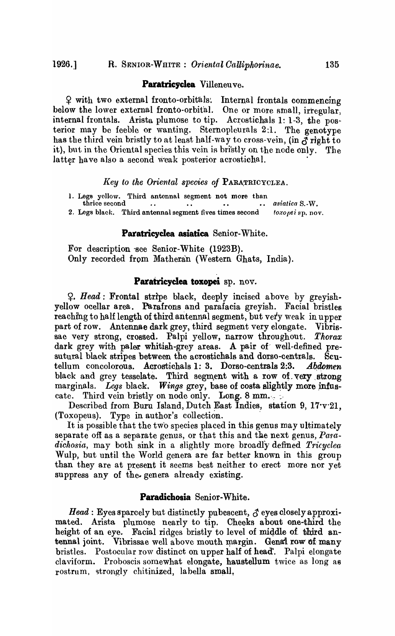#### **Paratricyclea** Villeneuve.

<sup>~</sup>with two external fronto-orbital'S'. Internal frontals commencing below the lower external fronto-orbital. One or more small, irregular, internal frontals. Arista plumose to tip. Acrostichals 1: 1-3, the posterior may be feeble or wanting. Sternopleurals 2:1. The genotype has the third vein bristly to at least half-way to cross-vein, (in  $\vec{\sigma}$  right to it), but in the Oriental species this vein is bristly on the node only. The latter have also a second weak posterior acrostichal.

#### Key to the Oriental species of PARATRICYCLEA.

1. Legs yollow. Third antonnal segment not more than thrice second ... .. .. .. thrice second •• *asiatica* S.-W. 2. Legs black. Third antennal segment fives times second toxopei sp. nov.

### **Paratricyclea asiatica** Senior-White.

For description 'sce Senior-White (1923B). Only recorded from Matheran (Western Ghats, India).

#### **Paratricyclea toxopei** ap. nov.

~. *Head:* Frontal strIpe black, deeply incised above by greyishyellow ocellar area. Parafrons and parafacia greyish. Facial bristles reaching to half length of third antennal segment, but very weak in upper part of row. Antennae dark grey, third segment very elongate. Vibrissae very strong, crossed. Palpi yellow, narrow throughout. *Thorax*  dark grey with paler whitish-grey areas. A pair of well-defined presutural black stripes between the acrostichals and dorso-centrals. Scutellum concolorous. Acrostichals 1: 3. Dorso-centrals 2:3. *Abdomen*  black and grey tesselate. Third segment with a row of very strong marginals. *Legs* black. *Wings* grey, base of costa slightly more infuscate. Third vein bristly on node only. Long. 8 mm.

Described from Buru Island, Du tch East Indies, station 9, 17·v·21, (Toxopeus). Type in author's collection. .

It is possible that the tw'o species placed in this genus may ultimately separate off as a separate genus, or that this and the next genus, *Para*dichosia, may both sink in a slightly more broadly defined *Tricyclea* Wulp, but until the World genera are far better known in this group than they are at present it seems best neither to erect more nor yet suppress any of the genera already existing.

## **Paradichosia** Senior-White.

*Head*: Eyes sparcely but distinctly pubescent,  $\beta$  eyes closely approximated. Arista plumose nearly to tip. Cheeks about one-third the height of an eye. Facial ridges bristly to level of middle of third antennal joint. Vibrissae well above mouth margin. Genal row of many bristles. Postocular row distinct on upper half of head. Palpi elongate claviform. Proboscis somewhat elongate, haustellum twice as long a6 rostrum, strongly chitinized, labella small,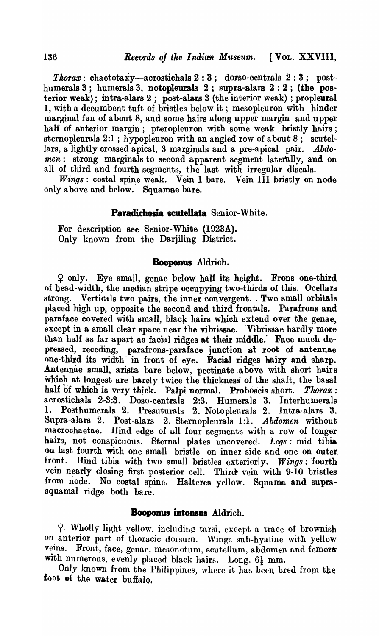$Thorax:$  chaetotaxy-acrostichals  $2:3$ ; dorso-centrals  $2:3$ ; posthumerals 3; humerals 3, notopleurals 2; supra-alars  $2:2$ ; (the posterior weak); intra-alars  $2$ ; post-alars  $3$  (the interior weak); propleural 1, with a decumbent tuft of bristles below it; mesopleuron with hinder marginal fan of about 8, and some hairs along upper margin and upper half of anterior margin; pteropleuron with some weak bristly hairs; sternopleurals  $2:1$ ; hypopleuron with an angled row of about  $8$ ; scutellars, a lightly crossed apical, 3 marginals and a pre-apical pair. *Abdomen:* strong marginals to second apparent segment laterally, and on all of third and fourth segments, the last with irregular discals.

*Wings:* costal spine weak. Vein I bare. Vein III bristly on node only above and below. Squamae bare.

## Paradichosia scutellata Senior-White.

For description see Senior-White (1923A). Only known from the Darjiling District.

## **Booponus** Aldrich.

 $\varphi$  only. Eye small, genae below half its height. Frons one-third of bead-width, the median stripe occupying two-thirds of this. Ocellars strong. Verticals two pairs, the inner convergent. Two small orbitals placed high up, opposite the second and third frontals. Parafrons and paraface covered with small, black hairs which extend over the genae, except in a small clear space near the vibrissae. Vibrissae hardly more than half as far apart as facial ridges at their middle. Face much depressed, receding, parafrons-paraface junction at root of antennae one-third its width' in front of eye. Facial ridges hairy and sharp. Antennae small, arista bare below, pectinate above with short hairs which at longest are barely twice the thickness of the shaft, the basal half of which is very thick. Palpi normal. Proboscis short. *Thorax*: acrostichals 2-3:3. Doso-centrals 2:3. Humerals 3. Interhumerals 1. Posthumerals 2. Presuturals 2. Notopleurals 2. Intra-alars 3. Supra-alars 2. Post-alars 2. Stemopleurals 1:1. *Abdomen* without macrochaetae. Hind edge of all four segments with a row of longer hairs, not conspicuous. Sternal plates uncovered. *Legs:* mid tibia on last fourth with one small bristle on inner side and one on outer front. Hind tibia with two small bristles exteriorly. Wings: fourth vein nearly closing first posterior cell. Third- vein with 9-10 bristles from node. No costal spine. Halteres yellow. Squama and suprasquamal ridge both bare.

## **Booponus intonsus Aldrich.**

~. Wholly light yellow, including tarsi, except a trace of brownish on anterior part of thoracic dorsum. Wings sub-hyaline with yellow veins. Front, face, genae, mesonotum, scutellum, abdomen and femorawith numerous, evenly placed black hairs. Long.  $6\frac{1}{2}$  mm.

Only known from the Philippines, where it has been bred from the foot of the water buffalo.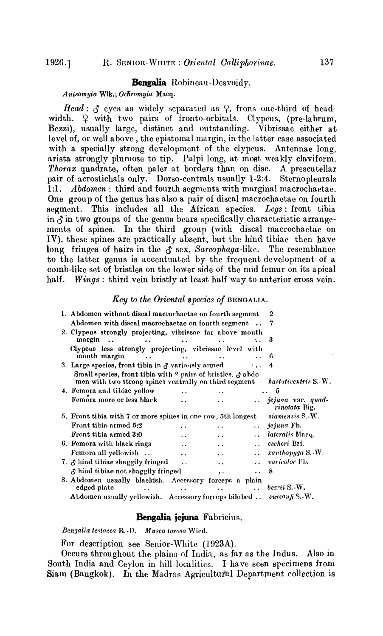## **Bengalia** Robincau-Dcsvoidy.

Anisomyia Wlk.; Ochromyia Macq.

*Head*:  $\delta$  eyes as widely separated as  $\varphi$ , frons one-third of headwidth.  $\varphi$  with two pairs of fronto-orbitals. Clypeus, (pre-labrum, Bezzi), usually large, distinct and outstanding. Vibrissae either at level of, or well above, the epistomal margin, in the latter case associated with a specially strong development of the clypeus. Antennae long, arista strongly plumose to tip. Palpi long, at most weakly claviform. *Thorax* quadrate, often paler at borders than on disc. A prescutellar pair of acrostichals only. Dorso-centrals usually 1-2:4. Sternopleurals 1:1. *Abdomen*: third and fourth segments with marginal macrochaetae. One group of the genus has also a pair of discal macrochaetae on fourth segment. This includes all the African species. *Legs:* front tibia in  $\delta$  in two groups of the genus bears specifically characteristic arrangements of spines. In the third group (with discal macrochaetae on IV), these spines are practically absent, but the hind tibiae then have long fringes of hairs in the  $\delta$  sex, *Sarcophaga-like*. The resemblance to the latter genus is accentuated by the frequent development of a comb-like set of bristles on the lower side of the mid femur on its apical half. *Wings*: third vein bristly at least half way to anterior cross vein.

## *Key to the Oriental species of* BENGALIA.

| 1. Abdomen without discal macrochaetae on fourth segment                                                                    |                        | 2                    |                      |                                    |
|-----------------------------------------------------------------------------------------------------------------------------|------------------------|----------------------|----------------------|------------------------------------|
| Abdomen with discal macrochaetae on fourth segment                                                                          |                        |                      |                      | 7                                  |
| 2. Clypeus strongly projecting, vibrissae far above mouth<br>margin<br>$\ddot{\phantom{a}}$                                 | $\ddot{\phantom{a}}$   |                      |                      | 3                                  |
| Clypeus less strongly projecting, vibrissae level with<br>mouth margin                                                      |                        |                      |                      | 6                                  |
| 3. Large species, front tibia in $\sigma$ variously armed                                                                   |                        |                      | $\ddotsc$            |                                    |
| Small species, front tibia with ? pairs of bristles. $\beta$ abdo-<br>men with two strong spines ventrally on third segment |                        |                      |                      | hastativentris S.-W.               |
| 4. Femora and tibiae yellow                                                                                                 |                        |                      |                      | -5                                 |
| Femora more or less black                                                                                                   | $\ddot{\phantom{a}}$   |                      |                      | jejuna var. quad-<br>rinotata Big. |
| 5. Front tibia with 7 or more spines in one row, 5th longest                                                                |                        |                      |                      | siamensis S.-W.                    |
| Front tibia armed 5:2                                                                                                       |                        | $\ddot{\phantom{a}}$ |                      | $\ldots$ jejuna Fb.                |
| Front tibia armed 3:0                                                                                                       |                        | $\ddot{\phantom{a}}$ |                      | lateralis Macq.                    |
| 6. Femora with black rings                                                                                                  | $\ddot{\phantom{a}}$   | $\ddot{\phantom{a}}$ | $\sim 10^{-10}$      | escheri Bzi.                       |
| Femora all yellowish                                                                                                        | $\ddot{\phantom{a}}$   | $\ddot{\phantom{a}}$ | $\ddot{\phantom{a}}$ | xanthopyga S.-W.                   |
| 7. J hind tibiae shaggily fringed                                                                                           | $\ddot{\phantom{a}}$   | $\ddot{\phantom{a}}$ |                      | <i>varicolor</i> Fb.               |
| & hind tibiae not shaggily fringed                                                                                          |                        | $\ddot{\phantom{a}}$ | $\ddot{\phantom{a}}$ | 8                                  |
| 8. Abdomen usually blackish. Accessory forceps a plain<br>edged plate<br>$\ddot{\phantom{a}}$                               | <b>Allen Community</b> | $\ddot{\phantom{0}}$ | $\ddotsc$            | $bezri$ S. W.                      |
| Abdomen usually yellowish. Accessory forceps bilobed  surcouff S.-W.                                                        |                        |                      |                      |                                    |

#### **Bengalia jejuna** Fabricius.

*Benqalia testacea R.-D. Musca torosa Wied.* 

For description see Senior-White (1923A).

Occurs throughout the plains of India, as far as the Indus. Also in South India and Ceylon in hill localities. I have seen specimens from Siam (Bangkok). In the Madras Agricultural Department collection is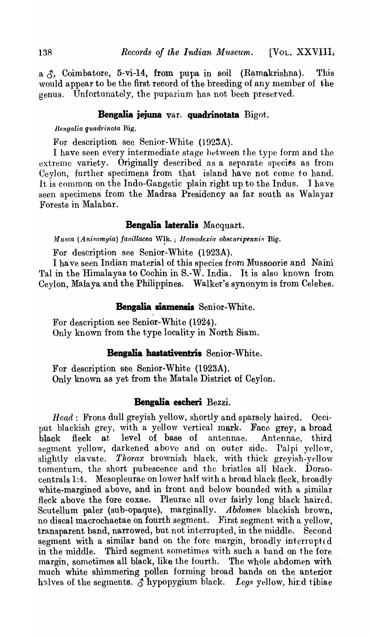a  $\uparrow$ , Coimbatore, 5-vi-14, from pupa in soil (Ramakrishna). This would appear to be the first record of the breeding of any member of the genus. Unfortunately, the puparium has not been preserved.

## **Bengalia jejuna** var. **quadrinotata** Bigot.

*BengaUa quadrinota* Rig.

For description sec Senior-White (1923A).

I have seen every intermediate stage between the type form and the extreme variety. Originally described as a separate species as from Ceylon, further specimens from that island have not come to hand. It is common on the Indo-Gangetic plain right up to the Indus. I have seen specimens from the Madras Presidency as far south as Walayar Forests in Mala bar.

## **Bengalia lateralis** Macquart.

*Musca (Anisomyia) favillacea WIK.*; *Homodexia obscuripennis Big.* 

For description see Senior-White (1923A).

I ha ve seen Indian material of this species from Mussoorie and Naini Tal in the Himalayas to Cochin in S.-W. India. It is also known from Ceylon, Malaya and the Philippines. Walker's synonym is from Celebes.

### **Benga1ia siamensis** Senior-White.

For description see Senior-White (1924). Only known from the type locality in North Siam.

## **Bengalia hastativentris** Senior-White.

For description see Senior-White (1923A). Only known as yet from the Matale District of Ceylon.

## **Bengalia escheri** Bezzi.

*Head:* Frons dull greyish yellow, shortly and sparsely haired. Occiput blackish grey, with a yellow vertical mark. Face grey, a broad black fleck at level of base of antennae. Antennae, third segment yellow, darkened above and on outer side. Palpi yellow, slightly clavate. *Thorax* brownish black, with thick greyish-yellow tomentum, the short pubescence and the bristles all black. Dorsocentrals 1:4. Mesopleurae on lower half with a broad black fleck, broadly white-margined above, and in front and below bounded with a similar fleck above the fore coxae. Pleurae all over fairly long black haired. Scutellum paler (sub-opaque), marginally. *Abdomen* blackish brown, no discal macrochaetae on fourth segment. First segment with a yellow, transparent band, narrowed, but not interrupted, in the middle. Second segment with a similar band on the fore margin, broadly interrupted in the middle. Third segment sometimes with such a band on the fore margin, sometimes all black, like the fourth. The whole abdomen with much white shimmering pollen forming broad bands on the. anterior halves of the segments.  $\delta$  hypopygium black. *Legs* yellow, hird tibiae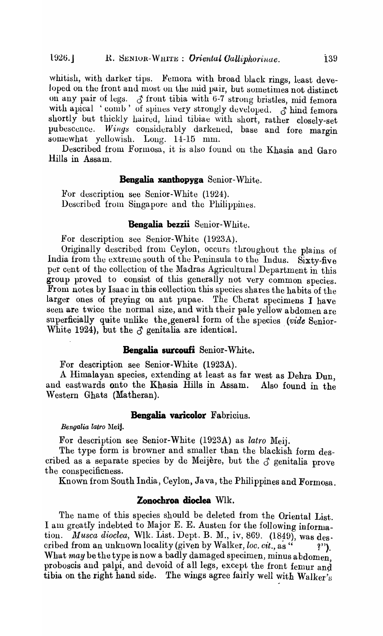whitish, with darker tips. Femora with broad black rings, least developed on the front and most on the mid pair, but sometimes not distinct on any pair of legs.  $\delta$  front tibia with 6-7 strong bristles, mid femora with apical 'comb' of spines very strongly developed.  $\sigma$  hind femora shortly but thickly haired, hiud tibiae with short, rather closely-set pubescence. Wings considerably darkened, base and fore margin somewhat yellowish. Long. 14-15 mm.

Described from Formosa, it is also found on the Khasia and Garo Hills in Assam.

## **Bengalia xanthopyga** Senior-White.

For description see Senior-White (1924). Described from Singapore and the Philippines.

## **Bengalia bezzii** Senior-White.

For description see Senior-White (1923A).

Originally described from Ceylon, occurs throughout the plains of India from the extreme south of the Peninsula to the Indus. Sixty-five per cent of the collection of the Madras Agricultural Department in this group proved to consist of this generally not very common species. From notes by Isaac in this collection this species shares the habits of the larger ones of preying on ant pupae. The Cherat specimens I have seen are twice the normal size, and with their pale yellow abdomen are superficially quite unlike the general form of the species *(vide* Senior-White 1924), but the  $\beta$  genitalia are identical.

## **Bengalia surcoufi** Senior-White.

For description see Senior-White (1923A).

A Himalayan species, extending at least as far west as Debra Dun, and eastwards onto the Khasia Hills in Assam. Also found in the Western Ghats (Matheran).

## **Bengalia varicolor** Fabricius.

*Bengalia latro* Meij.

For description see Senior-White (1923A) as *latro* Meij.

The type form is browner and smaller than the blackish form described as a separate species by de Meijère, but the  $\delta$  genitalia prove the conspecificness.

Known from South India, Ceylon, Java, the Philippines and Formosa.

#### **ZODochroa dioc1ea** Wlk.

The name of this species should be deleted from the Oriental List. I am greatly indebted to Major E. E. Austen for the following information. *Musca dioclea*, Wlk. List. Dept. B. M., iv, 869. (1849), was des. cribed from an unknown locality (given by Walker, *loc. cit.*, as " ?"). What *may* be the type is now a badly damaged specimen, minus abdomen, proboscis and palpi, and devoid of all legs, except the front femur and tibia on the right hand side. The wings agree fairly well with Walker's